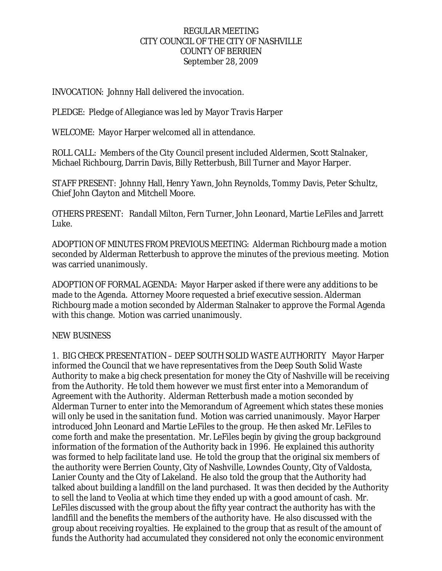### REGULAR MEETING CITY COUNCIL OF THE CITY OF NASHVILLE COUNTY OF BERRIEN September 28, 2009

INVOCATION: Johnny Hall delivered the invocation.

PLEDGE: Pledge of Allegiance was led by Mayor Travis Harper

WELCOME: Mayor Harper welcomed all in attendance.

ROLL CALL: Members of the City Council present included Aldermen, Scott Stalnaker, Michael Richbourg, Darrin Davis, Billy Retterbush, Bill Turner and Mayor Harper.

STAFF PRESENT: Johnny Hall, Henry Yawn, John Reynolds, Tommy Davis, Peter Schultz, Chief John Clayton and Mitchell Moore.

OTHERS PRESENT: Randall Milton, Fern Turner, John Leonard, Martie LeFiles and Jarrett Luke.

ADOPTION OF MINUTES FROM PREVIOUS MEETING: Alderman Richbourg made a motion seconded by Alderman Retterbush to approve the minutes of the previous meeting. Motion was carried unanimously.

ADOPTION OF FORMAL AGENDA: Mayor Harper asked if there were any additions to be made to the Agenda. Attorney Moore requested a brief executive session. Alderman Richbourg made a motion seconded by Alderman Stalnaker to approve the Formal Agenda with this change. Motion was carried unanimously.

### NEW BUSINESS

1. BIG CHECK PRESENTATION – DEEP SOUTH SOLID WASTE AUTHORITY Mayor Harper informed the Council that we have representatives from the Deep South Solid Waste Authority to make a big check presentation for money the City of Nashville will be receiving from the Authority. He told them however we must first enter into a Memorandum of Agreement with the Authority. Alderman Retterbush made a motion seconded by Alderman Turner to enter into the Memorandum of Agreement which states these monies will only be used in the sanitation fund. Motion was carried unanimously. Mayor Harper introduced John Leonard and Martie LeFiles to the group. He then asked Mr. LeFiles to come forth and make the presentation. Mr. LeFiles begin by giving the group background information of the formation of the Authority back in 1996. He explained this authority was formed to help facilitate land use. He told the group that the original six members of the authority were Berrien County, City of Nashville, Lowndes County, City of Valdosta, Lanier County and the City of Lakeland. He also told the group that the Authority had talked about building a landfill on the land purchased. It was then decided by the Authority to sell the land to Veolia at which time they ended up with a good amount of cash. Mr. LeFiles discussed with the group about the fifty year contract the authority has with the landfill and the benefits the members of the authority have. He also discussed with the group about receiving royalties. He explained to the group that as result of the amount of funds the Authority had accumulated they considered not only the economic environment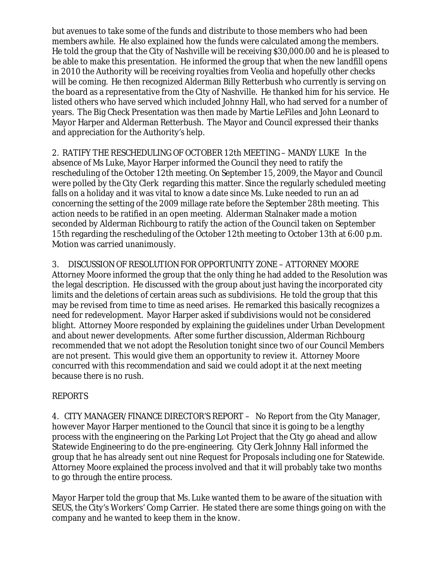but avenues to take some of the funds and distribute to those members who had been members awhile. He also explained how the funds were calculated among the members. He told the group that the City of Nashville will be receiving \$30,000.00 and he is pleased to be able to make this presentation. He informed the group that when the new landfill opens in 2010 the Authority will be receiving royalties from Veolia and hopefully other checks will be coming. He then recognized Alderman Billy Retterbush who currently is serving on the board as a representative from the City of Nashville. He thanked him for his service. He listed others who have served which included Johnny Hall, who had served for a number of years. The Big Check Presentation was then made by Martie LeFiles and John Leonard to Mayor Harper and Alderman Retterbush. The Mayor and Council expressed their thanks and appreciation for the Authority's help.

2. RATIFY THE RESCHEDULING OF OCTOBER 12th MEETING – MANDY LUKE In the absence of Ms Luke, Mayor Harper informed the Council they need to ratify the rescheduling of the October 12th meeting. On September 15, 2009, the Mayor and Council were polled by the City Clerk regarding this matter. Since the regularly scheduled meeting falls on a holiday and it was vital to know a date since Ms. Luke needed to run an ad concerning the setting of the 2009 millage rate before the September 28th meeting. This action needs to be ratified in an open meeting. Alderman Stalnaker made a motion seconded by Alderman Richbourg to ratify the action of the Council taken on September 15th regarding the rescheduling of the October 12th meeting to October 13th at 6:00 p.m. Motion was carried unanimously.

3. DISCUSSION OF RESOLUTION FOR OPPORTUNITY ZONE – ATTORNEY MOORE Attorney Moore informed the group that the only thing he had added to the Resolution was the legal description. He discussed with the group about just having the incorporated city limits and the deletions of certain areas such as subdivisions. He told the group that this may be revised from time to time as need arises. He remarked this basically recognizes a need for redevelopment. Mayor Harper asked if subdivisions would not be considered blight. Attorney Moore responded by explaining the guidelines under Urban Development and about newer developments. After some further discussion, Alderman Richbourg recommended that we not adopt the Resolution tonight since two of our Council Members are not present. This would give them an opportunity to review it. Attorney Moore concurred with this recommendation and said we could adopt it at the next meeting because there is no rush.

# REPORTS

4. CITY MANAGER/FINANCE DIRECTOR'S REPORT – No Report from the City Manager, however Mayor Harper mentioned to the Council that since it is going to be a lengthy process with the engineering on the Parking Lot Project that the City go ahead and allow Statewide Engineering to do the pre-engineering. City Clerk Johnny Hall informed the group that he has already sent out nine Request for Proposals including one for Statewide. Attorney Moore explained the process involved and that it will probably take two months to go through the entire process.

Mayor Harper told the group that Ms. Luke wanted them to be aware of the situation with SEUS, the City's Workers' Comp Carrier. He stated there are some things going on with the company and he wanted to keep them in the know.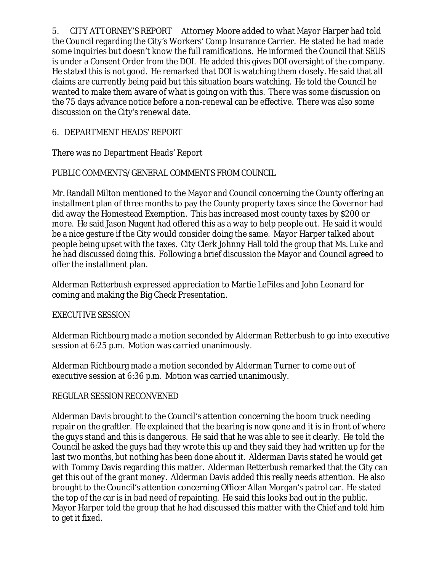5. CITY ATTORNEY'S REPORT Attorney Moore added to what Mayor Harper had told the Council regarding the City's Workers' Comp Insurance Carrier. He stated he had made some inquiries but doesn't know the full ramifications. He informed the Council that SEUS is under a Consent Order from the DOI. He added this gives DOI oversight of the company. He stated this is not good. He remarked that DOI is watching them closely. He said that all claims are currently being paid but this situation bears watching. He told the Council he wanted to make them aware of what is going on with this. There was some discussion on the 75 days advance notice before a non-renewal can be effective. There was also some discussion on the City's renewal date.

## 6. DEPARTMENT HEADS' REPORT

There was no Department Heads' Report

### PUBLIC COMMENTS/GENERAL COMMENTS FROM COUNCIL

Mr. Randall Milton mentioned to the Mayor and Council concerning the County offering an installment plan of three months to pay the County property taxes since the Governor had did away the Homestead Exemption. This has increased most county taxes by \$200 or more. He said Jason Nugent had offered this as a way to help people out. He said it would be a nice gesture if the City would consider doing the same. Mayor Harper talked about people being upset with the taxes. City Clerk Johnny Hall told the group that Ms. Luke and he had discussed doing this. Following a brief discussion the Mayor and Council agreed to offer the installment plan.

Alderman Retterbush expressed appreciation to Martie LeFiles and John Leonard for coming and making the Big Check Presentation.

### EXECUTIVE SESSION

Alderman Richbourg made a motion seconded by Alderman Retterbush to go into executive session at 6:25 p.m. Motion was carried unanimously.

Alderman Richbourg made a motion seconded by Alderman Turner to come out of executive session at 6:36 p.m. Motion was carried unanimously.

# REGULAR SESSION RECONVENED

Alderman Davis brought to the Council's attention concerning the boom truck needing repair on the graftler. He explained that the bearing is now gone and it is in front of where the guys stand and this is dangerous. He said that he was able to see it clearly. He told the Council he asked the guys had they wrote this up and they said they had written up for the last two months, but nothing has been done about it. Alderman Davis stated he would get with Tommy Davis regarding this matter. Alderman Retterbush remarked that the City can get this out of the grant money. Alderman Davis added this really needs attention. He also brought to the Council's attention concerning Officer Allan Morgan's patrol car. He stated the top of the car is in bad need of repainting. He said this looks bad out in the public. Mayor Harper told the group that he had discussed this matter with the Chief and told him to get it fixed.